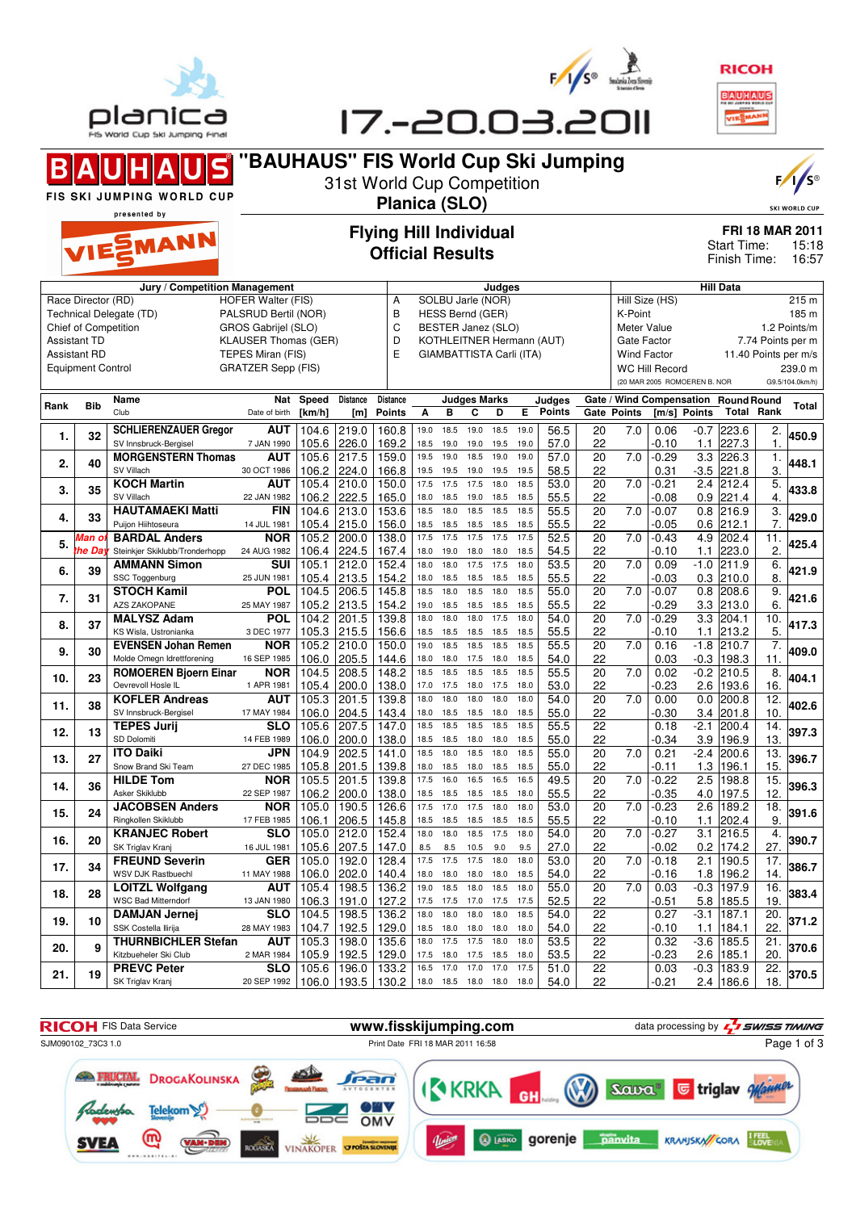





|     | u     | SV Innsbruck-Bergisel          | 7 JAN 1990  | 105.6 | 226.0 | 169.2 | 18.5 | 19.0 | 19.0 | 19.5 | 19.0 | 57.0 | 22              |                  | $-0.10$ | 227.3<br>1.1    | 1.             | ט.טי  |
|-----|-------|--------------------------------|-------------|-------|-------|-------|------|------|------|------|------|------|-----------------|------------------|---------|-----------------|----------------|-------|
| 2.  | 40    | <b>MORGENSTERN Thomas</b>      | <b>AUT</b>  | 105.6 | 217.5 | 159.0 | 19.5 | 19.0 | 18.5 | 19.0 | 19.0 | 57.0 | 20              | 7.0              | $-0.29$ | 3.3<br>226.3    | 1.             | 448.1 |
|     |       | SV Villach                     | 30 OCT 1986 | 106.2 | 224.0 | 166.8 | 19.5 | 19.5 | 19.0 | 19.5 | 19.5 | 58.5 | 22              |                  | 0.31    | $-3.5$<br>221.8 | 3.             |       |
| 3.  | 35    | <b>KOCH Martin</b>             | <b>AUT</b>  | 105.4 | 210.0 | 150.0 | 17.5 | 17.5 | 17.5 | 18.0 | 18.5 | 53.0 | 20              | 7.0              | $-0.21$ | 2.4<br>212.4    | 5              | 433.8 |
|     |       | SV Villach                     | 22 JAN 1982 | 106.2 | 222.5 | 165.0 | 18.0 | 18.5 | 19.0 | 18.5 | 18.5 | 55.5 | 22              |                  | $-0.08$ | 221.4<br>0.9    | $\overline{4}$ |       |
| 4.  | 33    | <b>HAUTAMAEKI Matti</b>        | <b>FIN</b>  | 104.6 | 213.0 | 153.6 | 18.5 | 18.0 | 18.5 | 18.5 | 18.5 | 55.5 | 20              | $\overline{7.0}$ | $-0.07$ | 0.8<br>216.9    | 3.             | 429.0 |
|     |       | Puijon Hiihtoseura             | 14 JUL 1981 | 105.4 | 215.0 | 156.0 | 18.5 | 18.5 | 18.5 | 18.5 | 18.5 | 55.5 | 22              |                  | $-0.05$ | 212.1<br>0.6    | 7.             |       |
| 5.  | Man c | <b>BARDAL Anders</b>           | <b>NOR</b>  | 105.2 | 200.0 | 138.0 | 17.5 | 17.5 | 17.5 | 17.5 | 17.5 | 52.5 | 20              | 7.0              | $-0.43$ | 4.9<br>202.4    | 11.            | 425.4 |
|     | he Da | Steinkjer Skiklubb/Tronderhopp | 24 AUG 1982 | 106.4 | 224.5 | 167.4 | 18.0 | 19.0 | 18.0 | 18.0 | 18.5 | 54.5 | 22              |                  | $-0.10$ | 223.0<br>1.1    | $\overline{2}$ |       |
| 6.  | 39    | <b>AMMANN Simon</b>            | <b>SUI</b>  | 105.1 | 212.0 | 152.4 | 18.0 | 18.0 | 17.5 | 17.5 | 18.0 | 53.5 | 20              | $\overline{7.0}$ | 0.09    | $-1.0$<br>211.9 | 6.             | 421.9 |
|     |       | SSC Toggenburg                 | 25 JUN 1981 | 105.4 | 213.5 | 154.2 | 18.0 | 18.5 | 18.5 | 18.5 | 18.5 | 55.5 | 22              |                  | $-0.03$ | 0.3<br>210.0    | 8.             |       |
| 7.  | 31    | <b>STOCH Kamil</b>             | POL         | 104.5 | 206.5 | 145.8 | 18.5 | 18.0 | 18.5 | 18.0 | 18.5 | 55.0 | 20              | $\overline{7.0}$ | $-0.07$ | 0.8<br>208.6    | 9              | 421.6 |
|     |       | <b>AZS ZAKOPANE</b>            | 25 MAY 1987 | 105.2 | 213.5 | 154.2 | 19.0 | 18.5 | 18.5 | 18.5 | 18.5 | 55.5 | 22              |                  | $-0.29$ | 3.3<br>213.0    | 6.             |       |
|     | 37    | <b>MALYSZ Adam</b>             | <b>POL</b>  | 104.2 | 201.5 | 139.8 | 18.0 | 18.0 | 18.0 | 17.5 | 18.0 | 54.0 | 20              | 7.0              | $-0.29$ | 3.3<br>204.1    | 10             | 417.3 |
| 8.  |       | KS Wisla, Ustronianka          | 3 DEC 1977  | 105.3 | 215.5 | 156.6 | 18.5 | 18.5 | 18.5 | 18.5 | 18.5 | 55.5 | 22              |                  | $-0.10$ | 213.2<br>1.1    | 5.             |       |
| 9.  | 30    | <b>EVENSEN Johan Remen</b>     | <b>NOR</b>  | 105.2 | 210.0 | 150.0 | 19.0 | 18.5 | 18.5 | 18.5 | 18.5 | 55.5 | 20              | $\overline{7.0}$ | 0.16    | $-1.8$<br>210.7 | 7.             | 409.0 |
|     |       | Molde Omegn Idrettforening     | 16 SEP 1985 | 106.0 | 205.5 | 144.6 | 18.0 | 18.0 | 17.5 | 18.0 | 18.5 | 54.0 | 22              |                  | 0.03    | $-0.3$<br>198.3 | 11.            |       |
| 10. | 23    | <b>ROMOEREN Bjoern Einar</b>   | <b>NOR</b>  | 104.5 | 208.5 | 148.2 | 18.5 | 18.5 | 18.5 | 18.5 | 18.5 | 55.5 | 20              | $\overline{7.0}$ | 0.02    | $-0.2$<br>210.5 | 8.             | 404.1 |
|     |       | Oevrevoll Hosle IL             | 1 APR 1981  | 105.4 | 200.0 | 138.0 | 17.0 | 17.5 | 18.0 | 17.5 | 18.0 | 53.0 | 22              |                  | $-0.23$ | 2.6<br>193.6    | 16.            |       |
|     | 38    | <b>KOFLER Andreas</b>          | <b>AUT</b>  | 105.3 | 201.5 | 139.8 | 18.0 | 18.0 | 18.0 | 18.0 | 18.0 | 54.0 | 20              | $\overline{7.0}$ | 0.00    | 0.0<br>200.8    | 12             | 402.6 |
| 11. |       | SV Innsbruck-Bergisel          | 17 MAY 1984 | 106.0 | 204.5 | 143.4 | 18.0 | 18.5 | 18.5 | 18.0 | 18.5 | 55.0 | 22              |                  | $-0.30$ | 3.4<br>201.8    | 10.            |       |
| 12. | 13    | <b>TEPES Jurij</b>             | <b>SLO</b>  | 105.6 | 207.5 | 147.0 | 18.5 | 18.5 | 18.5 | 18.5 | 18.5 | 55.5 | 22              |                  | 0.18    | $-2.1$<br>200.4 | 14             | 397.3 |
|     |       | SD Dolomiti                    | 14 FEB 1989 | 106.0 | 200.0 | 138.0 | 18.5 | 18.5 | 18.0 | 18.0 | 18.5 | 55.0 | 22              |                  | $-0.34$ | 3.9<br>196.9    | 13.            |       |
| 13. | 27    | <b>ITO Daiki</b>               | <b>JPN</b>  | 104.9 | 202.5 | 141.0 | 18.5 | 18.0 | 18.5 | 18.0 | 18.5 | 55.0 | 20              | 7.0              | 0.21    | $-2.4$<br>200.6 | 13.            | 396.7 |
|     |       | Snow Brand Ski Team            | 27 DEC 1985 | 105.8 | 201.5 | 139.8 | 18.0 | 18.5 | 18.0 | 18.5 | 18.5 | 55.0 | 22              |                  | $-0.11$ | 1.3<br>196.1    | 15.            |       |
| 14. | 36    | <b>HILDE Tom</b>               | <b>NOR</b>  | 105.5 | 201.5 | 139.8 | 17.5 | 16.0 | 16.5 | 16.5 | 16.5 | 49.5 | 20              | 7.0              | $-0.22$ | 2.5<br>198.8    | 15.            | 396.3 |
|     |       | Asker Skiklubb                 | 22 SEP 1987 | 106.2 | 200.0 | 138.0 | 18.5 | 18.5 | 18.5 | 18.5 | 18.0 | 55.5 | 22              |                  | $-0.35$ | 4.0<br>197.5    | 12.            |       |
| 15. | 24    | <b>JACOBSEN Anders</b>         | <b>NOR</b>  | 105.0 | 190.5 | 126.6 | 17.5 | 17.0 | 17.5 | 18.0 | 18.0 | 53.0 | $\overline{20}$ | $\overline{7.0}$ | $-0.23$ | 2.6<br>189.2    | 18.            | 391.6 |
|     |       | Ringkollen Skiklubb            | 17 FEB 1985 | 106.1 | 206.5 | 145.8 | 18.5 | 18.5 | 18.5 | 18.5 | 18.5 | 55.5 | 22              |                  | $-0.10$ | 202.4<br>1.1    | 9.             |       |
| 16. | 20    | <b>KRANJEC Robert</b>          | <b>SLO</b>  | 105.0 | 212.0 | 152.4 | 18.0 | 18.0 | 18.5 | 17.5 | 18.0 | 54.0 | 20              | $\overline{7.0}$ | $-0.27$ | 3.1<br>216.5    | $\overline{4}$ | 390.7 |
|     |       | SK Triglav Kranj               | 16 JUL 1981 | 105.6 | 207.5 | 147.0 | 8.5  | 8.5  | 10.5 | 9.0  | 9.5  | 27.0 | 22              |                  | $-0.02$ | 0.2<br>174.2    | 27.            |       |
| 17. | 34    | <b>FREUND Severin</b>          | <b>GER</b>  | 105.0 | 192.0 | 128.4 | 17.5 | 17.5 | 17.5 | 18.0 | 18.0 | 53.0 | 20              | 7.0              | $-0.18$ | 2.1<br>190.5    | 17             | 386.7 |
|     |       | <b>WSV DJK Rastbuechl</b>      | 11 MAY 1988 | 106.0 | 202.0 | 140.4 | 18.0 | 18.0 | 18.0 | 18.0 | 18.5 | 54.0 | 22              |                  | $-0.16$ | 1.8<br>196.2    | 14.            |       |
| 18. | 28    | <b>LOITZL Wolfgang</b>         | <b>AUT</b>  | 105.4 | 198.5 | 136.2 | 19.0 | 18.5 | 18.0 | 18.5 | 18.0 | 55.0 | $\overline{20}$ | 7.0              | 0.03    | $-0.3$<br>197.9 | 16.            | 383.4 |
|     |       | <b>WSC Bad Mitterndorf</b>     | 13 JAN 1980 | 106.3 | 191.0 | 127.2 | 17.5 | 17.5 | 17.0 | 17.5 | 17.5 | 52.5 | 22              |                  | $-0.51$ | 185.5<br>5.8    | 19.            |       |
| 19. | 10    | <b>DAMJAN Jernej</b>           | <b>SLO</b>  | 104.5 | 198.5 | 136.2 | 18.0 | 18.0 | 18.0 | 18.0 | 18.5 | 54.0 | 22              |                  | 0.27    | $-3.1$<br>187.1 | 20.            | 371.2 |
|     |       | SSK Costella Ilirija           | 28 MAY 1983 | 104.7 | 192.5 | 129.0 | 18.5 | 18.0 | 18.0 | 18.0 | 18.0 | 54.0 | 22              |                  | $-0.10$ | 184.1<br>1.1    | 22.            |       |
| 20. | q     | <b>THURNBICHLER Stefan</b>     | <b>AUT</b>  | 105.3 | 198.0 | 135.6 | 18.0 | 17.5 | 17.5 | 18.0 | 18.0 | 53.5 | $\overline{22}$ |                  | 0.32    | $-3.6$<br>185.5 | 21             | 370.6 |
|     |       | Kitzbueheler Ski Club          | 2 MAR 1984  | 105.9 | 192.5 | 129.0 | 17.5 | 18.0 | 17.5 | 18.5 | 18.0 | 53.5 | 22              |                  | $-0.23$ | 185.1<br>2.6    | 20.            |       |
| 21. | 19    | <b>PREVC Peter</b>             | <b>SLO</b>  | 105.6 | 196.0 | 133.2 | 16.5 | 17.0 | 17.0 | 17.0 | 17.5 | 51.0 | 22              |                  | 0.03    | $-0.3$<br>183.9 | 22.            | 370.5 |
|     |       | SK Triglav Kranj               | 20 SEP 1992 | 106.0 | 193.5 | 130.2 | 18.0 | 18.5 | 18.0 | 18.0 | 18.0 | 54.0 | 22              |                  | $-0.21$ | 2.4<br>186.6    | 18.            |       |
|     |       |                                |             |       |       |       |      |      |      |      |      |      |                 |                  |         |                 |                |       |

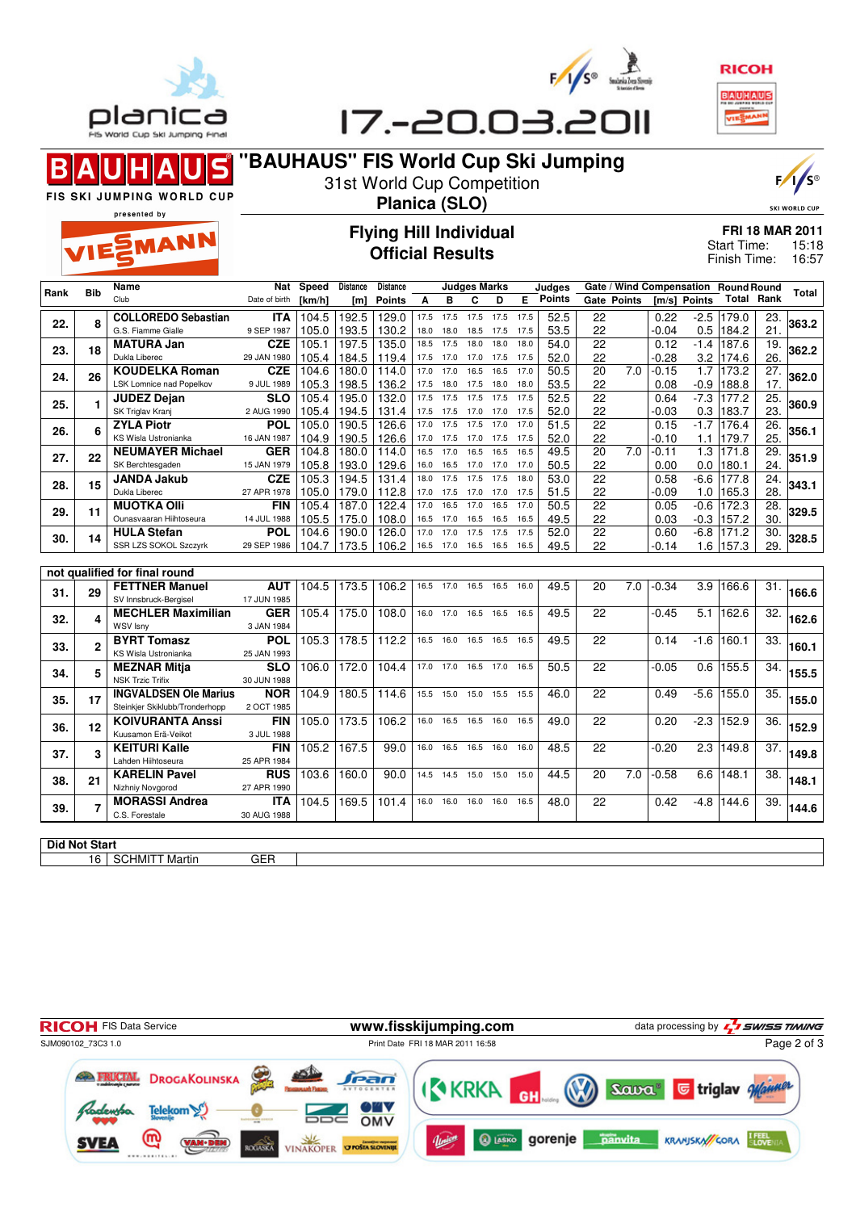



| ΠF<br>θ |
|---------|



## $\blacksquare$ Β

## **"BAUHAUS" FIS World Cup Ski Jumping** 31st World Cup Competition

 $\frac{1}{s^e}$ 

**SKI WORLD CUP** 

FIS SKI JUMPING WORLD CUP presented by



## **Flying Hill Individual Official Results**

**Planica (SLO)**

| <b>FRI 18 MAR 2011</b> |       |
|------------------------|-------|
| Start Time:            | 15:18 |
| Finish Time:           | 16:57 |

|      |                      | Name                                                           | Nat                       | Speed              | Distance | <b>Distance</b> |           |                     | <b>Judges Marks</b> |      |      | Judges        |                 | Gate / Wind Compensation Round Round |         |                  |                   |                   |       |
|------|----------------------|----------------------------------------------------------------|---------------------------|--------------------|----------|-----------------|-----------|---------------------|---------------------|------|------|---------------|-----------------|--------------------------------------|---------|------------------|-------------------|-------------------|-------|
| Rank | Bib<br>Club          |                                                                | Date of birth             | [km/h]             | [m]      | <b>Points</b>   | A         | в                   | C                   | D    | E.   | <b>Points</b> |                 | Gate Points                          |         | [m/s] Points     | <b>Total Rank</b> |                   | Total |
|      |                      | <b>COLLOREDO Sebastian</b>                                     | <b>ITA</b>                | 104.5              | 192.5    | 129.0           | 17.5      | 17.5                | 17.5                | 17.5 | 17.5 | 52.5          | 22              |                                      | 0.22    | $-2.5$           | 179.0             | 23.               |       |
| 22.  | 8                    | G.S. Fiamme Gialle                                             | 9 SEP 1987                | 105.0              | 193.5    | 130.2           | 18.0      | 18.0                | 18.5                | 17.5 | 17.5 | 53.5          | 22              |                                      | $-0.04$ | 0.5              | 184.2             | 21.               | 363.2 |
|      |                      | <b>MATURA Jan</b>                                              | CZE                       | 105.1              | 197.5    | 135.0           | 18.5      | 17.5                | 18.0                | 18.0 | 18.0 | 54.0          | $\overline{22}$ |                                      | 0.12    | $-1.4$           | 187.6             | 19.               |       |
| 23.  | 18                   | Dukla Liberec                                                  | 29 JAN 1980               | 105.4              | 184.5    | 119.4           | 17.5      | 17.0                | 17.0 17.5           |      | 17.5 | 52.0          | 22              |                                      | $-0.28$ | 3.2              | 174.6             | 26.               | 362.2 |
|      | 26                   | <b>KOUDELKA Roman</b>                                          | <b>CZE</b>                | 104.6              | 180.0    | 114.0           | 17.0      | 17.0                | 16.5                | 16.5 | 17.0 | 50.5          | $\overline{20}$ | 7.0                                  | $-0.15$ | $\overline{1.7}$ | 173.2             | $\overline{27}$ . |       |
| 24.  |                      | <b>LSK Lomnice nad Popelkov</b>                                | 9 JUL 1989                | 105.3              | 198.5    | 136.2           | 17.5      | 18.0                | 17.5                | 18.0 | 18.0 | 53.5          | 22              |                                      | 0.08    | $-0.9$           | 188.8             | 17.               | 362.0 |
| 25.  | 1                    | <b>JUDEZ Dejan</b>                                             | <b>SLO</b>                | 105.4              | 195.0    | 132.0           | 17.5      | 17.5                | 17.5                | 17.5 | 17.5 | 52.5          | 22              |                                      | 0.64    | $-7.3$           | 177.2             | 25.               | 360.9 |
|      |                      | SK Triglav Kranj                                               | 2 AUG 1990                | 105.4              | 194.5    | 131.4           | 17.5      | 17.5                | 17.0                | 17.0 | 17.5 | 52.0          | 22              |                                      | -0.03   | 0.3              | 183.7             | 23.               |       |
| 26.  | 6                    | <b>ZYLA Piotr</b>                                              | POL                       | 105.0              | 190.5    | 126.6           | 17.0      | 17.5                | 17.5                | 17.0 | 17.0 | 51.5          | $\overline{22}$ |                                      | 0.15    | $-1.7$           | 176.4             | $\overline{26}$   | 356.1 |
|      |                      | KS Wisla Ustronianka                                           | 16 JAN 1987               | 104.9              | 190.5    | 126.6           | 17.0      | 17.5                | 17.0                | 17.5 | 17.5 | 52.0          | 22              |                                      | $-0.10$ | 1.1              | 179.7             | 25.               |       |
| 27.  | 22                   | <b>NEUMAYER Michael</b>                                        | <b>GER</b>                | $\overline{104.8}$ | 180.0    | 114.0           | 16.5      | 17.0                | 16.5                | 16.5 | 16.5 | 49.5          | 20              | $\overline{7.0}$                     | $-0.11$ | 1.3              | 171.8             | $\overline{29}$   | 351.9 |
|      |                      | SK Berchtesgaden                                               | 15 JAN 1979               | 105.8              | 193.0    | 129.6           | 16.0 16.5 |                     | 17.0                | 17.0 | 17.0 | 50.5          | 22              |                                      | 0.00    | 0.0              | 180.1             | 24.               |       |
| 28.  | 15                   | <b>JANDA Jakub</b>                                             | <b>CZE</b>                | 105.3              | 194.5    | 131.4           | 18.0      | 17.5                | 17.5                | 17.5 | 18.0 | 53.0          | $\overline{22}$ |                                      | 0.58    | $-6.6$           | 177.8             | $\overline{24}$ . | 343.1 |
|      |                      | Dukla Liberec                                                  | 27 APR 1978               | 105.0              | 179.0    | 112.8           | 17.0      | 17.5                | 17.0 17.0           |      | 17.5 | 51.5          | 22              |                                      | $-0.09$ | 1.0              | 165.3             | 28.               |       |
| 29.  | 11                   | <b>MUOTKA OIII</b>                                             | <b>FIN</b>                | 105.4              | 187.0    | 122.4           | 17.0      | 16.5                | 17.0                | 16.5 | 17.0 | 50.5          | 22              |                                      | 0.05    | $-0.6$           | 172.3             | 28.               | 329.5 |
|      |                      | Ounasvaaran Hiihtoseura                                        | 14 JUL 1988               | 105.5              | 175.0    | 108.0           | 16.5      | 17.0                | 16.5                | 16.5 | 16.5 | 49.5          | 22              |                                      | 0.03    | $-0.3$           | 157.2             | 30                |       |
| 30.  | 14                   | <b>HULA Stefan</b>                                             | <b>POL</b>                | 104.6              | 190.0    | 126.0           | 17.0      | 17.0                | 17.5                | 17.5 | 17.5 | 52.0          | 22              |                                      | 0.60    | $-6.8$           | 171.2             | 30.               | 328.5 |
|      |                      | SSR LZS SOKOL Szczyrk                                          | 29 SEP 1986               | 104.7              | 173.5    | 106.2           | 16.5 17.0 |                     | 16.5 16.5           |      | 16.5 | 49.5          | 22              |                                      | $-0.14$ | 1.6              | 157.3             | 29.               |       |
|      |                      |                                                                |                           |                    |          |                 |           |                     |                     |      |      |               |                 |                                      |         |                  |                   |                   |       |
|      |                      | not qualified for final round                                  |                           |                    |          |                 |           |                     |                     |      |      |               |                 |                                      |         |                  |                   |                   |       |
| 31.  | 29                   | <b>FETTNER Manuel</b>                                          | <b>AUT</b>                | 104.5              | 173.5    | 106.2           |           | 16.5 17.0 16.5      |                     | 16.5 | 16.0 | 49.5          | 20              | $\overline{7.0}$                     | $-0.34$ | 3.9              | 166.6             | 31.               | 166.6 |
|      |                      | SV Innsbruck-Bergisel                                          | 17 JUN 1985               |                    |          |                 |           |                     |                     |      |      |               |                 |                                      |         |                  |                   |                   |       |
| 32.  | 4                    | <b>MECHLER Maximilian</b>                                      | <b>GER</b>                | 105.4              | 175.0    | 108.0           | 16.0 17.0 |                     | 16.5 16.5           |      | 16.5 | 49.5          | 22              |                                      | $-0.45$ | $\overline{5.1}$ | 162.6             | 32.               | 162.6 |
|      |                      | <b>WSV Isny</b>                                                | 3 JAN 1984                |                    |          |                 |           |                     |                     |      |      |               |                 |                                      |         |                  |                   |                   |       |
| 33.  | $\overline{2}$       | <b>BYRT Tomasz</b>                                             | <b>POL</b>                | 105.3              | 178.5    | 112.2           |           | 16.5 16.0 16.5 16.5 |                     |      | 16.5 | 49.5          | 22              |                                      | 0.14    | $-1.6$           | 160.1             | 33.               | 160.1 |
|      |                      | KS Wisla Ustronianka                                           | 25 JAN 1993               |                    |          |                 |           |                     |                     |      |      |               |                 |                                      |         |                  |                   |                   |       |
| 34.  | 5                    | <b>MEZNAR Mitja</b>                                            | $\overline{\text{SLO}}$   | 106.0              | 172.0    | 104.4           | 17.0 17.0 |                     | 16.5 17.0           |      | 16.5 | 50.5          | 22              |                                      | $-0.05$ | 0.6              | 155.5             | 34.               | 155.5 |
|      |                      | <b>NSK Trzic Trifix</b>                                        | 30 JUN 1988<br><b>NOR</b> | 104.9              | 180.5    |                 | 15.5 15.0 |                     |                     |      |      |               | 22              |                                      |         | $-5.6$           | 155.0             |                   |       |
| 35.  | 17                   | <b>INGVALDSEN Ole Marius</b><br>Steinkjer Skiklubb/Tronderhopp |                           |                    |          | 114.6           |           |                     | 15.0                | 15.5 | 15.5 | 46.0          |                 |                                      | 0.49    |                  |                   | 35.               | 155.0 |
|      |                      | <b>KOIVURANTA Anssi</b>                                        | 2 OCT 1985<br><b>FIN</b>  | 105.0              | 173.5    | 106.2           | 16.0      |                     | 16.5 16.5 16.0      |      | 16.5 | 49.0          | 22              |                                      | 0.20    | $-2.3$           | 152.9             | 36.               |       |
| 36.  | 12                   | Kuusamon Erä-Veikot                                            | 3 JUL 1988                |                    |          |                 |           |                     |                     |      |      |               |                 |                                      |         |                  |                   |                   | 152.9 |
|      |                      | <b>KEITURI Kalle</b>                                           | <b>FIN</b>                | 105.2              | 167.5    | 99.0            | 16.0      | 16.5                | 16.5                | 16.0 | 16.0 | 48.5          | $\overline{22}$ |                                      | $-0.20$ | 2.3              | 149.8             | 37.               |       |
| 37.  | 3                    | Lahden Hiihtoseura                                             | 25 APR 1984               |                    |          |                 |           |                     |                     |      |      |               |                 |                                      |         |                  |                   |                   | 149.8 |
|      |                      | <b>KARELIN Pavel</b>                                           | <b>RUS</b>                | 103.6              | 160.0    | 90.0            |           | 14.5 14.5 15.0 15.0 |                     |      | 15.0 | 44.5          | 20              | 7.0                                  | $-0.58$ | 6.6              | 148.1             | 38.               |       |
| 38.  | 21                   | Nizhniy Novgorod                                               | 27 APR 1990               |                    |          |                 |           |                     |                     |      |      |               |                 |                                      |         |                  |                   |                   | 148.1 |
|      |                      | <b>MORASSI Andrea</b>                                          | <b>ITA</b>                | 104.5              | 169.5    | 101.4           |           | 16.0 16.0 16.0 16.0 |                     |      | 16.5 | 48.0          | 22              |                                      | 0.42    | $-4.8$           | 144.6             | 39.               |       |
| 39.  |                      | C.S. Forestale                                                 | 30 AUG 1988               |                    |          |                 |           |                     |                     |      |      |               |                 |                                      |         |                  |                   |                   | 144.6 |
|      |                      |                                                                |                           |                    |          |                 |           |                     |                     |      |      |               |                 |                                      |         |                  |                   |                   |       |
|      | <b>Did Not Start</b> |                                                                |                           |                    |          |                 |           |                     |                     |      |      |               |                 |                                      |         |                  |                   |                   |       |
|      |                      |                                                                |                           |                    |          |                 |           |                     |                     |      |      |               |                 |                                      |         |                  |                   |                   |       |
|      | 16                   | <b>SCHMITT Martin</b>                                          | <b>GER</b>                |                    |          |                 |           |                     |                     |      |      |               |                 |                                      |         |                  |                   |                   |       |